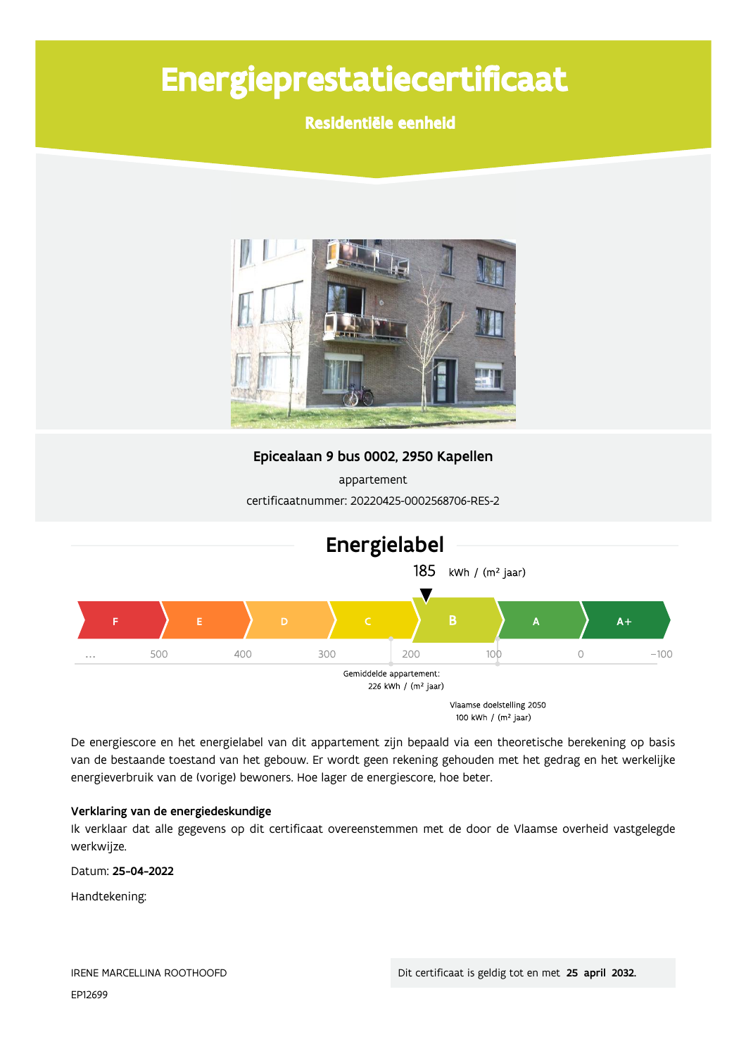# Energieprestatiecertificaat

Residentiële eenheid



Epicealaan 9 bus 0002, 2950 Kapellen

appartement certificaatnummer: 20220425-0002568706-RES-2



De energiescore en het energielabel van dit appartement zijn bepaald via een theoretische berekening op basis van de bestaande toestand van het gebouw. Er wordt geen rekening gehouden met het gedrag en het werkelijke energieverbruik van de (vorige) bewoners. Hoe lager de energiescore, hoe beter.

#### Verklaring van de energiedeskundige

Ik verklaar dat alle gegevens op dit certificaat overeenstemmen met de door de Vlaamse overheid vastgelegde werkwijze.

Datum: 25-04-2022

Handtekening: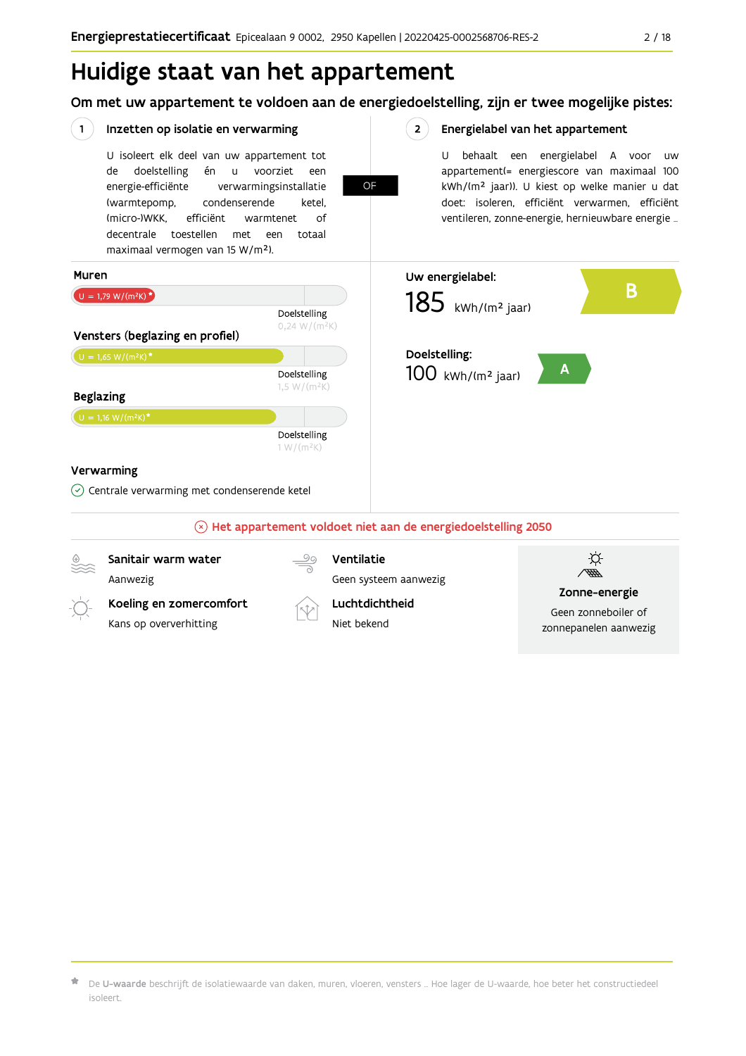## Huidige staat van het appartement

Om met uw appartement te voldoen aan de energiedoelstelling, zijn er twee mogelijke pistes:

|                                                      | Inzetten op isolatie en verwarming                                                                                                                                                                                                                                                                        |                               | 2 <sup>1</sup>                                                         | Energielabel van het appartement                                                                                                                                                                                                                       |  |  |
|------------------------------------------------------|-----------------------------------------------------------------------------------------------------------------------------------------------------------------------------------------------------------------------------------------------------------------------------------------------------------|-------------------------------|------------------------------------------------------------------------|--------------------------------------------------------------------------------------------------------------------------------------------------------------------------------------------------------------------------------------------------------|--|--|
|                                                      | U isoleert elk deel van uw appartement tot<br>doelstelling<br>én<br>voorziet<br>de<br>u<br>energie-efficiënte<br>verwarmingsinstallatie<br>condenserende<br>(warmtepomp,<br>(micro-)WKK.<br>efficiënt<br>warmtenet<br>decentrale toestellen<br>met<br>een<br>maximaal vermogen van 15 W/m <sup>2</sup> ). | een<br>ketel.<br>οf<br>totaal | U<br>OF                                                                | behaalt een energielabel A voor<br>uw<br>appartement(= energiescore van maximaal 100<br>kWh/(m <sup>2</sup> jaar)). U kiest op welke manier u dat<br>doet: isoleren, efficiënt verwarmen, efficiënt<br>ventileren, zonne-energie, hernieuwbare energie |  |  |
| Muren                                                |                                                                                                                                                                                                                                                                                                           |                               | Uw energielabel:                                                       |                                                                                                                                                                                                                                                        |  |  |
|                                                      | $U = 1,79 W/(m^2K)^{*}$<br>Doelstelling                                                                                                                                                                                                                                                                   |                               | B<br>$185$ kWh/(m <sup>2</sup> jaar)                                   |                                                                                                                                                                                                                                                        |  |  |
|                                                      | Vensters (beglazing en profiel)                                                                                                                                                                                                                                                                           | $0,24 W/(m^2K)$               |                                                                        |                                                                                                                                                                                                                                                        |  |  |
|                                                      | $U = 1,65 W/(m^2K)^*$                                                                                                                                                                                                                                                                                     |                               | Doelstelling:                                                          |                                                                                                                                                                                                                                                        |  |  |
| Doelstelling<br>1,5 W/( $m^2K$ )<br><b>Beglazing</b> |                                                                                                                                                                                                                                                                                                           |                               | $100$ kWh/(m <sup>2</sup> jaar)                                        |                                                                                                                                                                                                                                                        |  |  |
|                                                      | $U = 1,16 W/(m^2K)^{\star}$                                                                                                                                                                                                                                                                               |                               |                                                                        |                                                                                                                                                                                                                                                        |  |  |
|                                                      | Doelstelling<br>$1 W/(m^2K)$                                                                                                                                                                                                                                                                              |                               |                                                                        |                                                                                                                                                                                                                                                        |  |  |
|                                                      | Verwarming                                                                                                                                                                                                                                                                                                |                               |                                                                        |                                                                                                                                                                                                                                                        |  |  |
|                                                      | $\odot$ Centrale verwarming met condenserende ketel                                                                                                                                                                                                                                                       |                               |                                                                        |                                                                                                                                                                                                                                                        |  |  |
|                                                      |                                                                                                                                                                                                                                                                                                           |                               | $\otimes$ Het appartement voldoet niet aan de energiedoelstelling 2050 |                                                                                                                                                                                                                                                        |  |  |
|                                                      | Sanitair warm water                                                                                                                                                                                                                                                                                       |                               | Ventilatie                                                             |                                                                                                                                                                                                                                                        |  |  |
|                                                      | Aanwezig                                                                                                                                                                                                                                                                                                  |                               | Geen systeem aanwezig                                                  | Zonne-energie                                                                                                                                                                                                                                          |  |  |
| Koeling en zomercomfort<br>Kans op oververhitting    |                                                                                                                                                                                                                                                                                                           |                               | Luchtdichtheid<br>Niet bekend                                          | Geen zonneboiler of<br>zonnepanelen aanwezig                                                                                                                                                                                                           |  |  |

 $\bigstar$  De **U-waarde** beschrijft de isolatiewaarde van daken, muren, vloeren, vensters … Hoe lager de U-waarde, hoe beter het constructiedeel isoleert.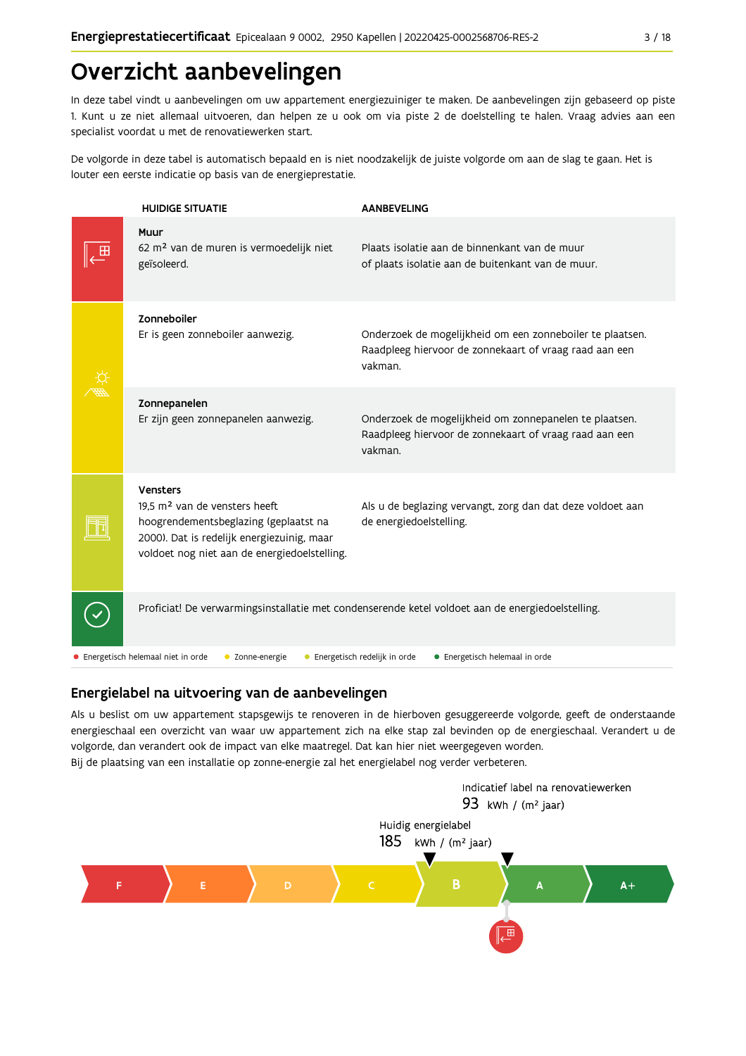## Overzicht aanbevelingen

In deze tabel vindt u aanbevelingen om uw appartement energiezuiniger te maken. De aanbevelingen zijn gebaseerd op piste 1. Kunt u ze niet allemaal uitvoeren, dan helpen ze u ook om via piste 2 de doelstelling te halen. Vraag advies aan een specialist voordat u met de renovatiewerken start.

De volgorde in deze tabel is automatisch bepaald en is niet noodzakelijk de juiste volgorde om aan de slag te gaan. Het is louter een eerste indicatie op basis van de energieprestatie.

| <b>HUIDIGE SITUATIE</b>                                                                                                                                                                             | <b>AANBEVELING</b>                                                                                                             |
|-----------------------------------------------------------------------------------------------------------------------------------------------------------------------------------------------------|--------------------------------------------------------------------------------------------------------------------------------|
| Muur<br>62 m <sup>2</sup> van de muren is vermoedelijk niet<br>geïsoleerd.                                                                                                                          | Plaats isolatie aan de binnenkant van de muur<br>of plaats isolatie aan de buitenkant van de muur.                             |
| Zonneboiler<br>Er is geen zonneboiler aanwezig.                                                                                                                                                     | Onderzoek de mogelijkheid om een zonneboiler te plaatsen.<br>Raadpleeg hiervoor de zonnekaart of vraag raad aan een<br>vakman. |
| Zonnepanelen<br>Er zijn geen zonnepanelen aanwezig.                                                                                                                                                 | Onderzoek de mogelijkheid om zonnepanelen te plaatsen.<br>Raadpleeg hiervoor de zonnekaart of vraag raad aan een<br>vakman.    |
| <b>Vensters</b><br>19.5 m <sup>2</sup> van de vensters heeft<br>hoogrendementsbeglazing (geplaatst na<br>2000). Dat is redelijk energiezuinig, maar<br>voldoet nog niet aan de energiedoelstelling. | Als u de beglazing vervangt, zorg dan dat deze voldoet aan<br>de energiedoelstelling.                                          |
|                                                                                                                                                                                                     | Proficiat! De verwarmingsinstallatie met condenserende ketel voldoet aan de energiedoelstelling.                               |
| • Energetisch helemaal niet in orde<br>• Zonne-energie                                                                                                                                              | • Energetisch redelijk in orde<br>• Energetisch helemaal in orde                                                               |

#### Energielabel na uitvoering van de aanbevelingen

Als u beslist om uw appartement stapsgewijs te renoveren in de hierboven gesuggereerde volgorde, geeft de onderstaande energieschaal een overzicht van waar uw appartement zich na elke stap zal bevinden op de energieschaal. Verandert u de volgorde, dan verandert ook de impact van elke maatregel. Dat kan hier niet weergegeven worden. Bij de plaatsing van een installatie op zonne-energie zal het energielabel nog verder verbeteren.

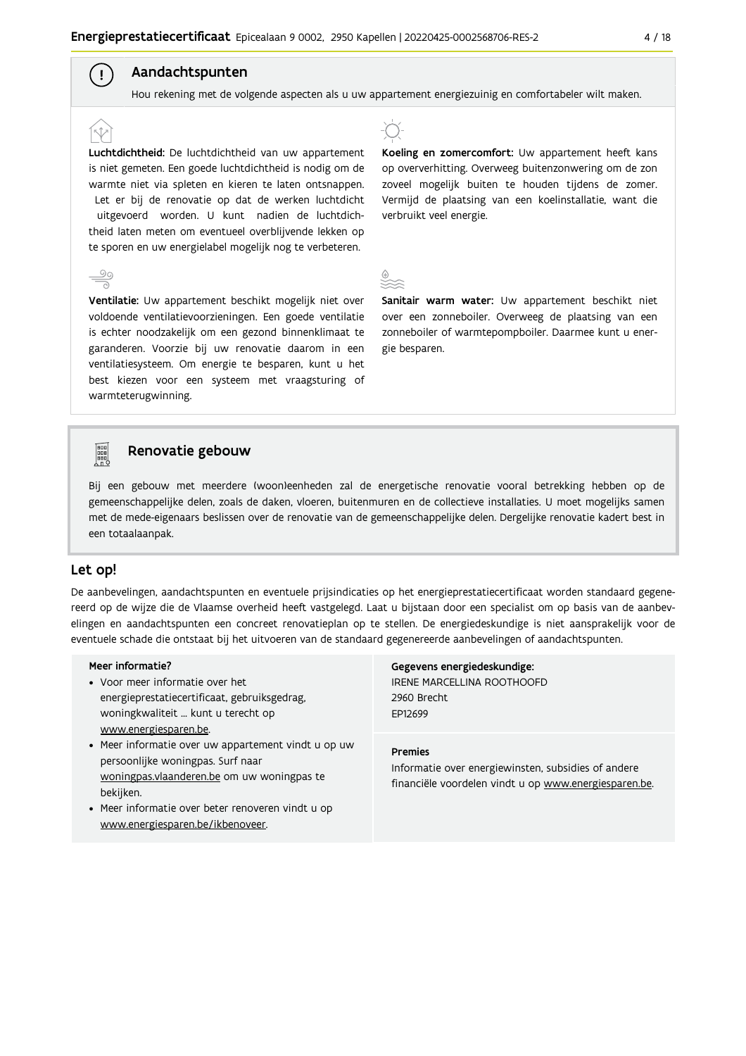### Aandachtspunten

 $\left( \begin{array}{c} 1 \end{array} \right)$ 

Hou rekening met de volgende aspecten als u uw appartement energiezuinig en comfortabeler wilt maken.

Luchtdichtheid: De luchtdichtheid van uw appartement is niet gemeten. Een goede luchtdichtheid is nodig om de warmte niet via spleten en kieren te laten ontsnappen. Let er bij de renovatie op dat de werken luchtdicht uitgevoerd worden. U kunt nadien de luchtdichtheid laten meten om eventueel overblijvende lekken op te sporen en uw energielabel mogelijk nog te verbeteren.

Ventilatie: Uw appartement beschikt mogelijk niet over voldoende ventilatievoorzieningen. Een goede ventilatie is echter noodzakelijk om een gezond binnenklimaat te garanderen. Voorzie bij uw renovatie daarom in een ventilatiesysteem. Om energie te besparen, kunt u het best kiezen voor een systeem met vraagsturing of warmteterugwinning.



Koeling en zomercomfort: Uw appartement heeft kans op oververhitting. Overweeg buitenzonwering om de zon zoveel mogelijk buiten te houden tijdens de zomer. Vermijd de plaatsing van een koelinstallatie, want die verbruikt veel energie.

Sanitair warm water: Uw appartement beschikt niet over een zonneboiler. Overweeg de plaatsing van een zonneboiler of warmtepompboiler. Daarmee kunt u energie besparen.



#### Renovatie gebouw

Bij een gebouw met meerdere (woon)eenheden zal de energetische renovatie vooral betrekking hebben op de gemeenschappelijke delen, zoals de daken, vloeren, buitenmuren en de collectieve installaties. U moet mogelijks samen met de mede-eigenaars beslissen over de renovatie van de gemeenschappelijke delen. Dergelijke renovatie kadert best in een totaalaanpak.

#### Let op!

De aanbevelingen, aandachtspunten en eventuele prijsindicaties op het energieprestatiecertificaat worden standaard gegenereerd op de wijze die de Vlaamse overheid heeft vastgelegd. Laat u bijstaan door een specialist om op basis van de aanbevelingen en aandachtspunten een concreet renovatieplan op te stellen. De energiedeskundige is niet aansprakelijk voor de eventuele schade die ontstaat bij het uitvoeren van de standaard gegenereerde aanbevelingen of aandachtspunten.

#### Meer informatie?

- Voor meer informatie over het energieprestatiecertificaat, gebruiksgedrag, woningkwaliteit ... kunt u terecht op www.energiesparen.be.
- Meer informatie over uw appartement vindt u op uw persoonlijke woningpas. Surf naar woningpas.vlaanderen.be om uw woningpas te bekijken.
- Meer informatie over beter renoveren vindt u op www.energiesparen.be/ikbenoveer.

### Gegevens energiedeskundige:

IRENE MARCELLINA ROOTHOOFD 2960 Brecht EP12699

#### **Premies**

Informatie over energiewinsten, subsidies of andere financiële voordelen vindt u op www.energiesparen.be.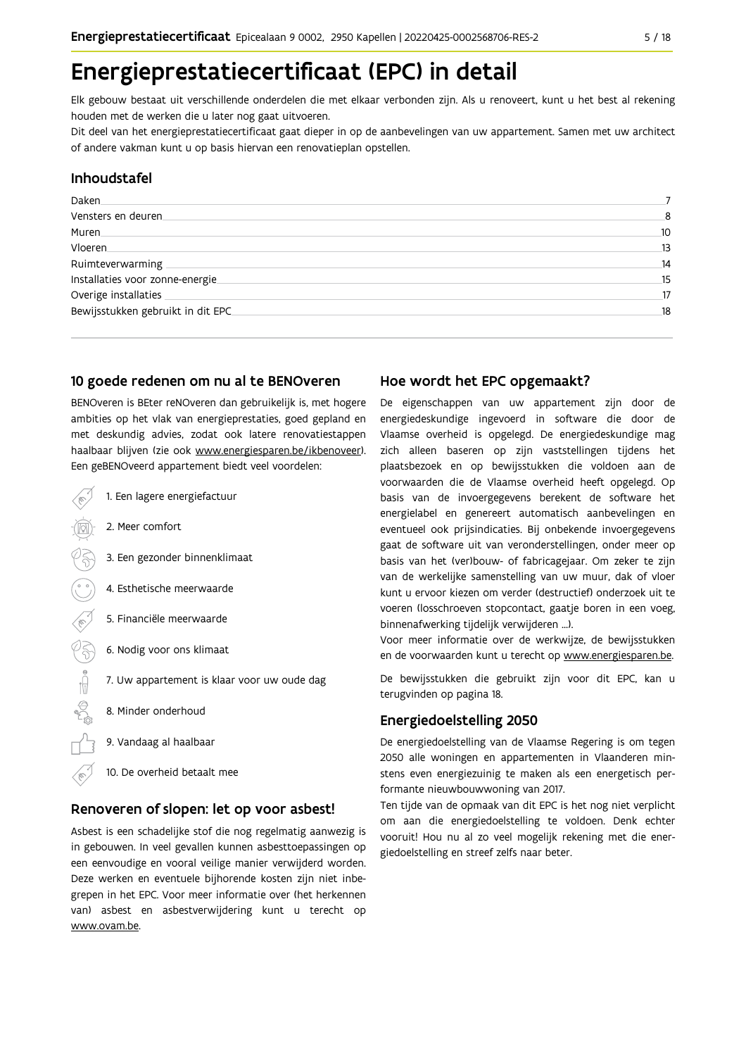## Energieprestatiecertificaat (EPC) in detail

Elk gebouw bestaat uit verschillende onderdelen die met elkaar verbonden zijn. Als u renoveert, kunt u het best al rekening houden met de werken die u later nog gaat uitvoeren.

Dit deel van het energieprestatiecertificaat gaat dieper in op de aanbevelingen van uw appartement. Samen met uw architect of andere vakman kunt u op basis hiervan een renovatieplan opstellen.

#### Inhoudstafel

| Daken.                            |    |
|-----------------------------------|----|
| Vensters en deuren                | 8  |
| Muren.                            | 10 |
| Vloeren                           | 13 |
| Ruimteverwarming                  | 14 |
| Installaties voor zonne-energie.  | 15 |
| Overige installaties              | 17 |
| Bewijsstukken gebruikt in dit EPC | 18 |
|                                   |    |

#### 10 goede redenen om nu al te BENOveren

BENOveren is BEter reNOveren dan gebruikelijk is, met hogere ambities op het vlak van energieprestaties, goed gepland en met deskundig advies, zodat ook latere renovatiestappen haalbaar blijven (zie ook www.energiesparen.be/ikbenoveer). Een geBENOveerd appartement biedt veel voordelen:

- 1. Een lagere energiefactuur 2. Meer comfort 3. Een gezonder binnenklimaat 4. Esthetische meerwaarde 5. Financiële meerwaarde  $\frac{1}{2}$ 6. Nodig voor ons klimaat 7. Uw appartement is klaar voor uw oude dag 8. Minder onderhoud 9. Vandaag al haalbaar
	- 10. De overheid betaalt mee

#### Renoveren of slopen: let op voor asbest!

Asbest is een schadelijke stof die nog regelmatig aanwezig is in gebouwen. In veel gevallen kunnen asbesttoepassingen op een eenvoudige en vooral veilige manier verwijderd worden. Deze werken en eventuele bijhorende kosten zijn niet inbegrepen in het EPC. Voor meer informatie over (het herkennen van) asbest en asbestverwijdering kunt u terecht op www.ovam.be.

#### Hoe wordt het EPC opgemaakt?

De eigenschappen van uw appartement zijn door de energiedeskundige ingevoerd in software die door de Vlaamse overheid is opgelegd. De energiedeskundige mag zich alleen baseren op zijn vaststellingen tijdens het plaatsbezoek en op bewijsstukken die voldoen aan de voorwaarden die de Vlaamse overheid heeft opgelegd. Op basis van de invoergegevens berekent de software het energielabel en genereert automatisch aanbevelingen en eventueel ook prijsindicaties. Bij onbekende invoergegevens gaat de software uit van veronderstellingen, onder meer op basis van het (ver)bouw- of fabricagejaar. Om zeker te zijn van de werkelijke samenstelling van uw muur, dak of vloer kunt u ervoor kiezen om verder (destructief) onderzoek uit te voeren (losschroeven stopcontact, gaatje boren in een voeg, binnenafwerking tijdelijk verwijderen ...).

Voor meer informatie over de werkwijze, de bewijsstukken en de voorwaarden kunt u terecht op www.energiesparen.be.

De bewijsstukken die gebruikt zijn voor dit EPC, kan u terugvinden op pagina 18.

#### **Energiedoelstelling 2050**

De energiedoelstelling van de Vlaamse Regering is om tegen 2050 alle woningen en appartementen in Vlaanderen minstens even energiezuinig te maken als een energetisch performante nieuwbouwwoning van 2017.

Ten tijde van de opmaak van dit EPC is het nog niet verplicht om aan die energiedoelstelling te voldoen. Denk echter vooruit! Hou nu al zo veel mogelijk rekening met die energiedoelstelling en streef zelfs naar beter.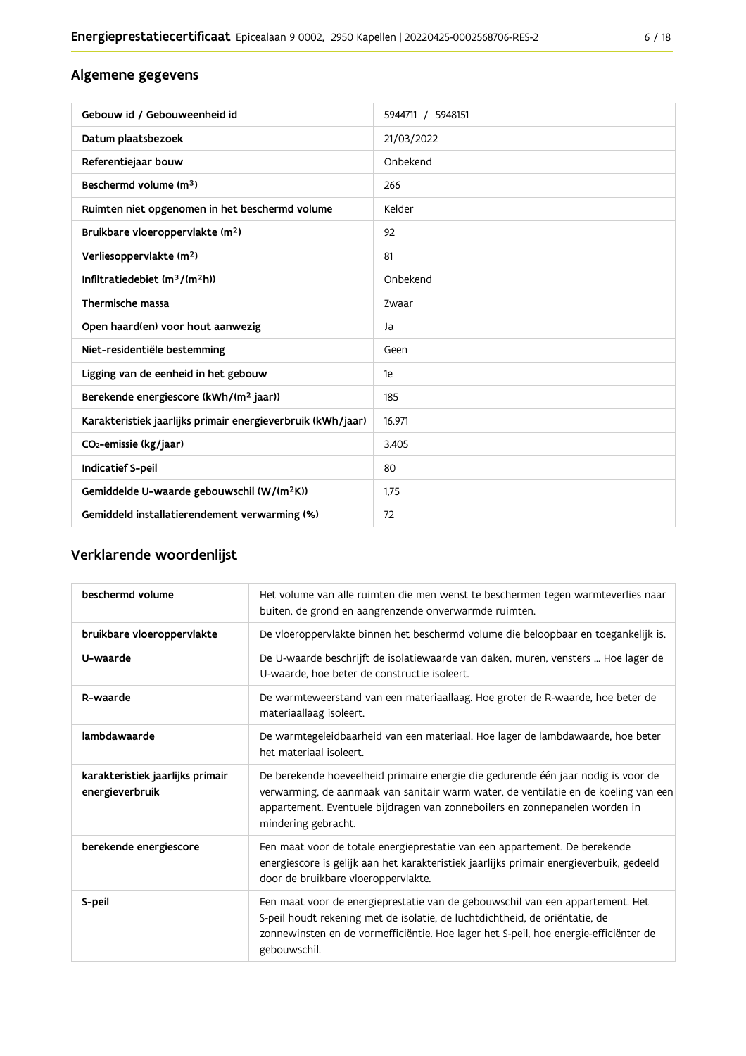### Algemene gegevens

| Gebouw id / Gebouweenheid id                                | 5944711 / 5948151 |
|-------------------------------------------------------------|-------------------|
| Datum plaatsbezoek                                          | 21/03/2022        |
| Referentiejaar bouw                                         | Onbekend          |
| Beschermd volume (m <sup>3</sup> )                          | 266               |
| Ruimten niet opgenomen in het beschermd volume              | Kelder            |
| Bruikbare vloeroppervlakte (m <sup>2</sup> )                | 92                |
| Verliesoppervlakte (m <sup>2</sup> )                        | 81                |
| Infiltratiedebiet $(m^3/(m^2h))$                            | Onbekend          |
| Thermische massa                                            | Zwaar             |
| Open haard(en) voor hout aanwezig                           | Ja                |
| Niet-residentiële bestemming                                | Geen              |
| Ligging van de eenheid in het gebouw                        | 1e                |
| Berekende energiescore (kWh/(m <sup>2</sup> jaar))          | 185               |
| Karakteristiek jaarlijks primair energieverbruik (kWh/jaar) | 16.971            |
| CO <sub>2</sub> -emissie (kg/jaar)                          | 3.405             |
| Indicatief S-peil                                           | 80                |
| Gemiddelde U-waarde gebouwschil (W/(m <sup>2</sup> K))      | 1.75              |
| Gemiddeld installatierendement verwarming (%)               | 72                |

### Verklarende woordenlijst

| beschermd volume                                    | Het volume van alle ruimten die men wenst te beschermen tegen warmteverlies naar<br>buiten, de grond en aangrenzende onverwarmde ruimten.                                                                                                                                      |
|-----------------------------------------------------|--------------------------------------------------------------------------------------------------------------------------------------------------------------------------------------------------------------------------------------------------------------------------------|
| bruikbare vloeroppervlakte                          | De vloeroppervlakte binnen het beschermd volume die beloopbaar en toegankelijk is.                                                                                                                                                                                             |
| U-waarde                                            | De U-waarde beschrijft de isolatiewaarde van daken, muren, vensters  Hoe lager de<br>U-waarde, hoe beter de constructie isoleert.                                                                                                                                              |
| R-waarde                                            | De warmteweerstand van een materiaallaag. Hoe groter de R-waarde, hoe beter de<br>materiaallaag isoleert.                                                                                                                                                                      |
| lambdawaarde                                        | De warmtegeleidbaarheid van een materiaal. Hoe lager de lambdawaarde, hoe beter<br>het materiaal isoleert.                                                                                                                                                                     |
| karakteristiek jaarlijks primair<br>energieverbruik | De berekende hoeveelheid primaire energie die gedurende één jaar nodig is voor de<br>verwarming, de aanmaak van sanitair warm water, de ventilatie en de koeling van een<br>appartement. Eventuele bijdragen van zonneboilers en zonnepanelen worden in<br>mindering gebracht. |
| berekende energiescore                              | Een maat voor de totale energieprestatie van een appartement. De berekende<br>energiescore is gelijk aan het karakteristiek jaarlijks primair energieverbuik, gedeeld<br>door de bruikbare vloeroppervlakte.                                                                   |
| S-peil                                              | Een maat voor de energieprestatie van de gebouwschil van een appartement. Het<br>S-peil houdt rekening met de isolatie, de luchtdichtheid, de oriëntatie, de<br>zonnewinsten en de vormefficiëntie. Hoe lager het S-peil, hoe energie-efficiënter de<br>gebouwschil.           |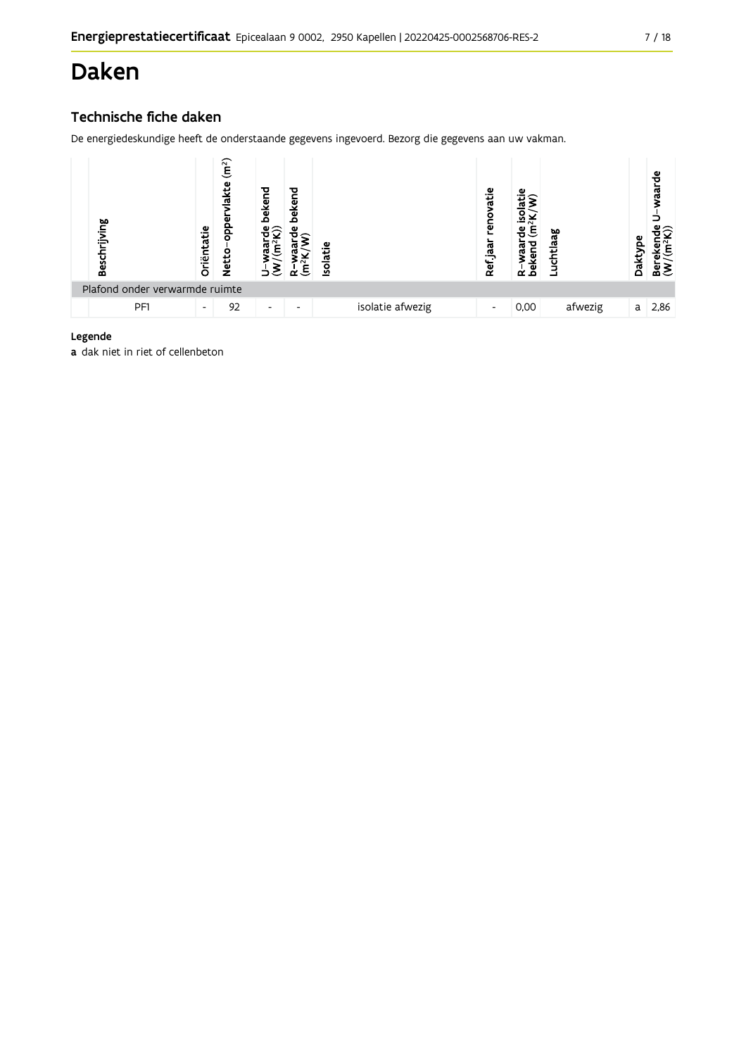## Daken

### Technische fiche daken

De energiedeskundige heeft de onderstaande gegevens ingevoerd. Bezorg die gegevens aan uw vakman.

| Beschrijving                   | Oriëntatie               | ลา<br>ξ<br>ω<br>음<br><b>Netto</b> | bekend<br>ω              | bekend<br>ω<br>Ε         | <b>Isolatie</b> |                  | vatie<br>reno<br>Ref jaar | ٩Ë<br>$\sim$<br>σ<br>൛<br>beken<br>ĩΩ,<br>$\alpha$ | ಇ<br>uchtla. | Dakty | vaarde<br>ε<br>≃ื้≊ |
|--------------------------------|--------------------------|-----------------------------------|--------------------------|--------------------------|-----------------|------------------|---------------------------|----------------------------------------------------|--------------|-------|---------------------|
| Plafond onder verwarmde ruimte |                          |                                   |                          |                          |                 |                  |                           |                                                    |              |       |                     |
| PF1                            | $\overline{\phantom{a}}$ | 92                                | $\overline{\phantom{0}}$ | $\overline{\phantom{0}}$ |                 | isolatie afwezig | $\overline{\phantom{a}}$  | 0,00                                               | afwezig      | a     | 2,86                |

#### Legende

a dak niet in riet of cellenbeton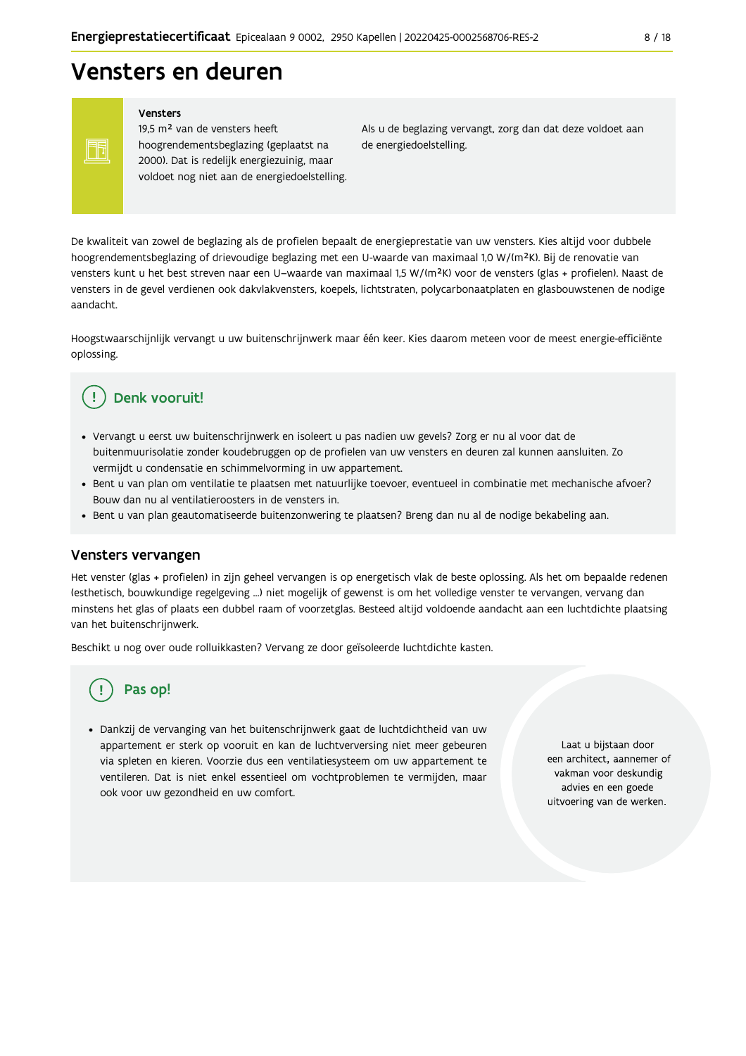### Vensters en deuren

Vensters

Ħ

19,5 m<sup>2</sup> van de vensters heeft hoogrendementsbeglazing (geplaatst na 2000). Dat is redelijk energiezuinig, maar voldoet nog niet aan de energiedoelstelling. Als u de beglazing vervangt, zorg dan dat deze voldoet aan de energiedoelstelling.

De kwaliteit van zowel de beglazing als de profielen bepaalt de energieprestatie van uw vensters. Kies altijd voor dubbele hoogrendementsbeglazing of drievoudige beglazing met een U-waarde van maximaal 1,0 W/(m<sup>2</sup>K). Bij de renovatie van vensters kunt u het best streven naar een U-waarde van maximaal 1,5 W/(m<sup>2</sup>K) voor de vensters (glas + profielen). Naast de vensters in de gevel verdienen ook dakvlakvensters, koepels, lichtstraten, polycarbonaatplaten en glasbouwstenen de nodige aandacht

Hoogstwaarschijnlijk vervangt u uw buitenschrijnwerk maar één keer. Kies daarom meteen voor de meest energie-efficiënte oplossing.

#### Denk vooruit! Ţ

- · Vervangt u eerst uw buitenschrijnwerk en isoleert u pas nadien uw gevels? Zorg er nu al voor dat de buitenmuurisolatie zonder koudebruggen op de profielen van uw vensters en deuren zal kunnen aansluiten. Zo vermijdt u condensatie en schimmelvorming in uw appartement.
- Bent u van plan om ventilatie te plaatsen met natuurlijke toevoer, eventueel in combinatie met mechanische afvoer? Bouw dan nu al ventilatieroosters in de vensters in.
- · Bent u van plan geautomatiseerde buitenzonwering te plaatsen? Breng dan nu al de nodige bekabeling aan.

#### Vensters vervangen

Het venster (glas + profielen) in zijn geheel vervangen is op energetisch vlak de beste oplossing. Als het om bepaalde redenen (esthetisch, bouwkundige regelgeving ...) niet mogelijk of gewenst is om het volledige venster te vervangen, vervang dan minstens het glas of plaats een dubbel raam of voorzetglas. Besteed altijd voldoende aandacht aan een luchtdichte plaatsing van het buitenschrijnwerk.

Beschikt u nog over oude rolluikkasten? Vervang ze door geïsoleerde luchtdichte kasten.

### Pas op!

· Dankzij de vervanging van het buitenschrijnwerk gaat de luchtdichtheid van uw appartement er sterk op vooruit en kan de luchtverversing niet meer gebeuren via spleten en kieren. Voorzie dus een ventilatiesysteem om uw appartement te ventileren. Dat is niet enkel essentieel om vochtproblemen te vermijden, maar ook voor uw gezondheid en uw comfort.

Laat u bijstaan door een architect, aannemer of vakman voor deskundig advies en een goede uitvoering van de werken.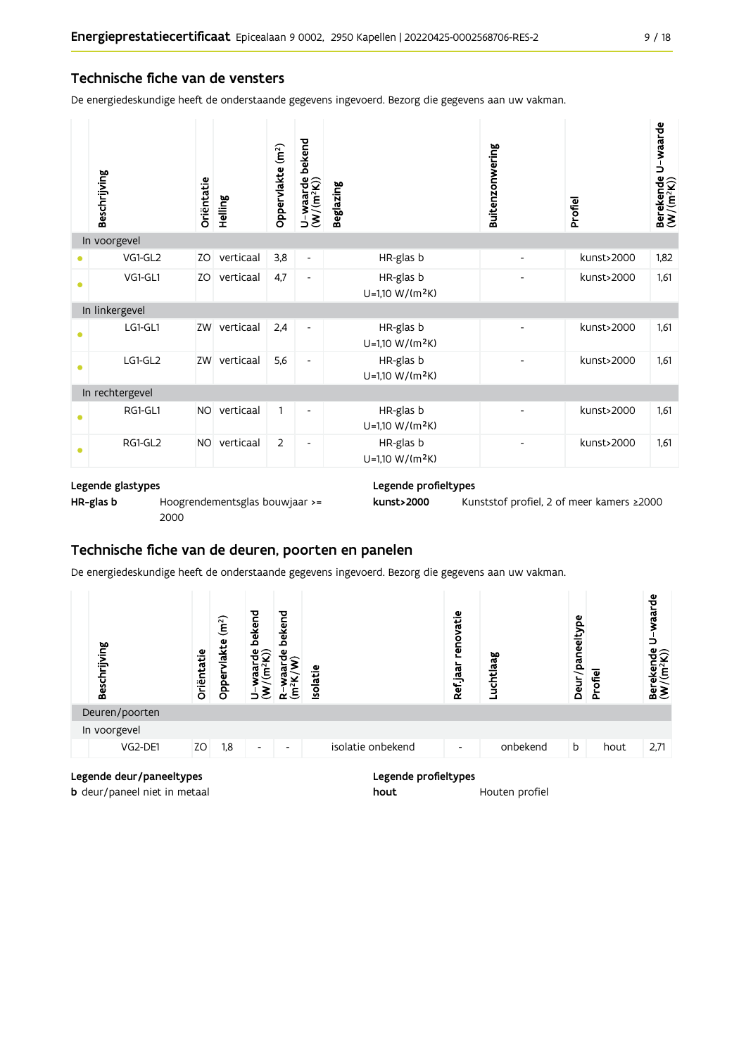#### Technische fiche van de vensters

De energiedeskundige heeft de onderstaande gegevens ingevoerd. Bezorg die gegevens aan uw vakman.

|   | Beschrijving    | Oriëntatie | Helling   | Oppervlakte (m <sup>2</sup> ) | bekend<br>U-waarde l<br>(W/(m <sup>2</sup> K)) | Beglazing                                | Buitenzonwering          | Profiel    | Berekende U-waarde<br>(W/(m <sup>2</sup> K)) |
|---|-----------------|------------|-----------|-------------------------------|------------------------------------------------|------------------------------------------|--------------------------|------------|----------------------------------------------|
|   | In voorgevel    |            |           |                               |                                                |                                          |                          |            |                                              |
|   | VG1-GL2         | ZO         | verticaal | 3,8                           | $\overline{\phantom{a}}$                       | HR-glas b                                | $\overline{\phantom{a}}$ | kunst>2000 | 1,82                                         |
|   | VG1-GL1         | ZO         | verticaal | 4,7                           | $\overline{\phantom{a}}$                       | HR-glas b<br>$U=1,10 W/(m^2K)$           |                          | kunst>2000 | 1,61                                         |
|   | In linkergevel  |            |           |                               |                                                |                                          |                          |            |                                              |
| ٠ | LG1-GL1         | ZW         | verticaal | 2,4                           | $\overline{\phantom{a}}$                       | HR-glas b<br>$U=1,10 W/(m^2K)$           |                          | kunst>2000 | 1,61                                         |
| ٠ | LG1-GL2         | ZW         | verticaal | 5,6                           | $\overline{\phantom{a}}$                       | HR-glas b<br>U=1,10 W/(m <sup>2</sup> K) |                          | kunst>2000 | 1,61                                         |
|   | In rechtergevel |            |           |                               |                                                |                                          |                          |            |                                              |
|   | RG1-GL1         | NO.        | verticaal | 1                             | ٠                                              | HR-glas b<br>$U=1,10 W/(m^2K)$           |                          | kunst>2000 | 1,61                                         |
|   | RG1-GL2         | <b>NO</b>  | verticaal | 2                             | $\overline{a}$                                 | HR-glas b<br>U=1,10 W/(m <sup>2</sup> K) |                          | kunst>2000 | 1,61                                         |

#### Legende glastypes

HR-glas b Hoogrendementsglas bouwjaar >=

2000

Legende profieltypes

```
Kunststof profiel, 2 of meer kamers ≥2000
kunst>2000
```
### Technische fiche van de deuren, poorten en panelen

De energiedeskundige heeft de onderstaande gegevens ingevoerd. Bezorg die gegevens aan uw vakman.



| <b>b</b> deur/paneel niet in metaal |  |
|-------------------------------------|--|

hout Houten profiel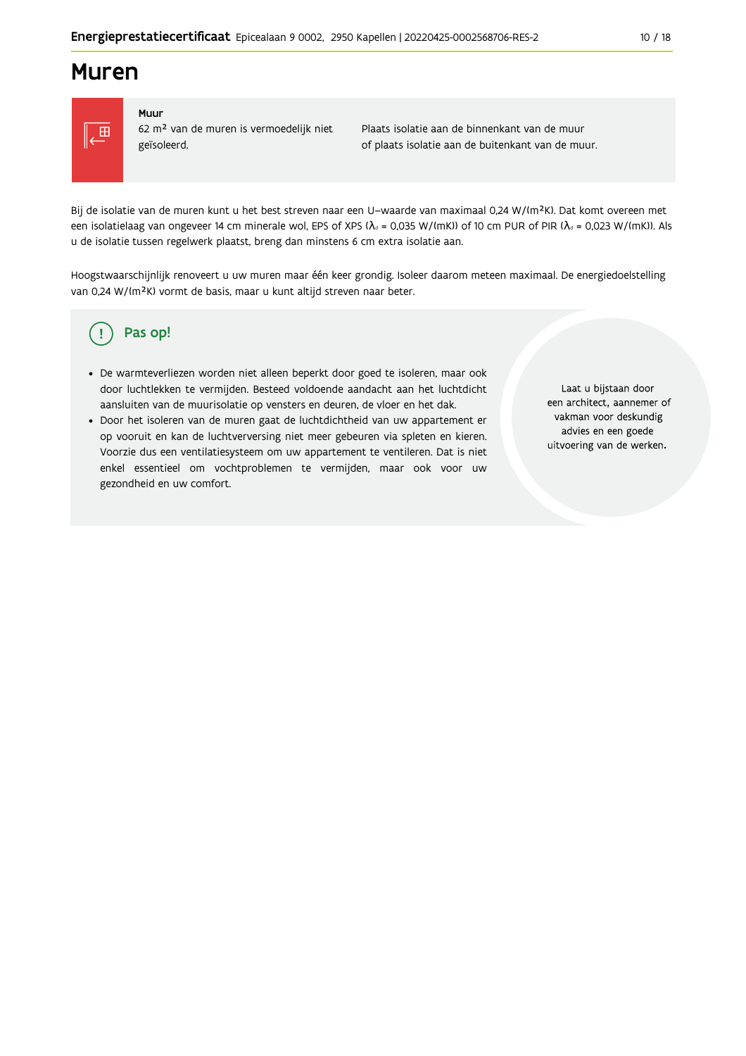### **Muren**



#### Muur

62 m<sup>2</sup> van de muren is vermoedelijk niet geïsoleerd.

Plaats isolatie aan de binnenkant van de muur of plaats isolatie aan de buitenkant van de muur.

Bij de isolatie van de muren kunt u het best streven naar een U-waarde van maximaal 0,24 W/(m<sup>2</sup>K). Dat komt overeen met een isolatielaag van ongeveer 14 cm minerale wol, EPS of XPS ( $\lambda_a$  = 0,035 W/(mK)) of 10 cm PUR of PIR ( $\lambda_a$  = 0,023 W/(mK)). Als u de isolatie tussen regelwerk plaatst, breng dan minstens 6 cm extra isolatie aan.

Hoogstwaarschijnlijk renoveert u uw muren maar één keer grondig. Isoleer daarom meteen maximaal. De energiedoelstelling van 0,24 W/(m<sup>2</sup>K) vormt de basis, maar u kunt altijd streven naar beter.

#### Pas op! (၂

- · De warmteverliezen worden niet alleen beperkt door goed te isoleren, maar ook door luchtlekken te vermijden. Besteed voldoende aandacht aan het luchtdicht aansluiten van de muurisolatie op vensters en deuren, de vloer en het dak.
- · Door het isoleren van de muren gaat de luchtdichtheid van uw appartement er op vooruit en kan de luchtverversing niet meer gebeuren via spleten en kieren. Voorzie dus een ventilatiesysteem om uw appartement te ventileren. Dat is niet enkel essentieel om vochtproblemen te vermijden, maar ook voor uw gezondheid en uw comfort.

Laat u bijstaan door een architect, aannemer of vakman voor deskundig advies en een goede uitvoering van de werken.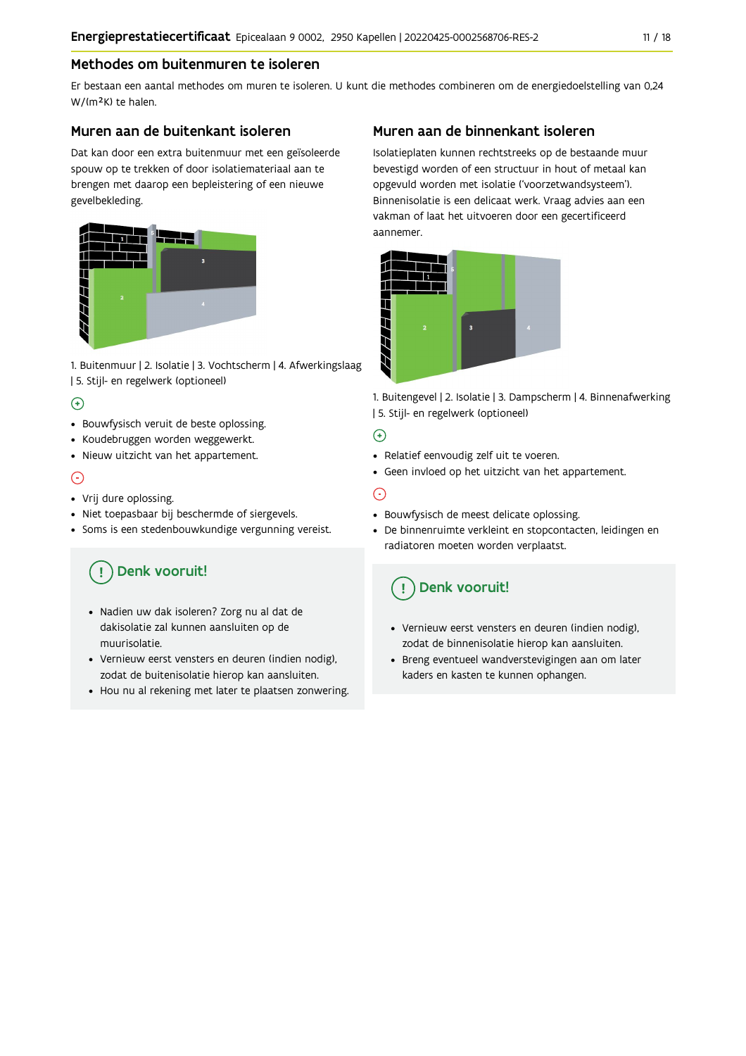#### Methodes om buitenmuren te isoleren

Er bestaan een aantal methodes om muren te isoleren. U kunt die methodes combineren om de energiedoelstelling van 0,24 W/(m<sup>2</sup>K) te halen.

#### Muren aan de buitenkant isoleren

Dat kan door een extra buitenmuur met een geïsoleerde spouw op te trekken of door isolatiemateriaal aan te brengen met daarop een bepleistering of een nieuwe gevelbekleding.



1. Buitenmuur | 2. Isolatie | 3. Vochtscherm | 4. Afwerkingslaag | 5. Stijl- en regelwerk (optioneel)

#### $\bigoplus$

- Bouwfysisch veruit de beste oplossing.
- Koudebruggen worden weggewerkt.
- · Nieuw uitzicht van het appartement.

#### $\odot$

- Vrij dure oplossing.
- · Niet toepasbaar bij beschermde of siergevels.
- Soms is een stedenbouwkundige vergunning vereist.

### Denk vooruit!

- · Nadien uw dak isoleren? Zorg nu al dat de dakisolatie zal kunnen aansluiten op de muurisolatie.
- · Vernieuw eerst vensters en deuren (indien nodig), zodat de buitenisolatie hierop kan aansluiten.
- Hou nu al rekening met later te plaatsen zonwering.

#### Muren aan de binnenkant isoleren

Isolatieplaten kunnen rechtstreeks op de bestaande muur bevestigd worden of een structuur in hout of metaal kan opgevuld worden met isolatie ('voorzetwandsysteem'). Binnenisolatie is een delicaat werk. Vraag advies aan een vakman of laat het uitvoeren door een gecertificeerd aannemer



1. Buitengevel | 2. Isolatie | 3. Dampscherm | 4. Binnenafwerking | 5. Stijl- en regelwerk (optioneel)

#### $\bigoplus$

- Relatief eenvoudig zelf uit te voeren.
- Geen invloed op het uitzicht van het appartement.

### ⊝

- Bouwfysisch de meest delicate oplossing.
- · De binnenruimte verkleint en stopcontacten, leidingen en radiatoren moeten worden verplaatst.

### Denk vooruit!

- Vernieuw eerst vensters en deuren (indien nodig), zodat de binnenisolatie hierop kan aansluiten.
- · Breng eventueel wandverstevigingen aan om later kaders en kasten te kunnen ophangen.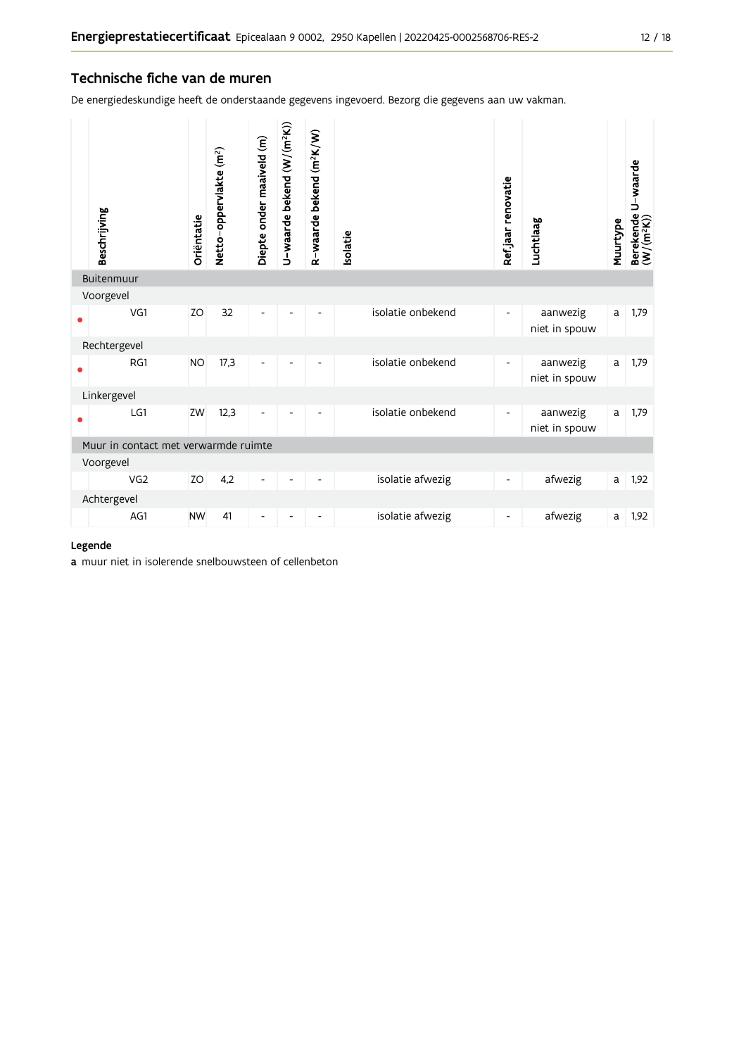#### Technische fiche van de muren

De energiedeskundige heeft de onderstaande gegevens ingevoerd. Bezorg die gegevens aan uw vakman.

| Beschrijving                         | Oriëntatie | Netto-oppervlakte (m <sup>2</sup> ) | Diepte onder maaiveld (m)    | U-waarde bekend (W/(m <sup>2</sup> K)) | R-waarde bekend (m <sup>2</sup> K/W) | solatie           | Ref.jaar renovatie       | Luchtlaag                 | Muurtype | Berekende U-waarde<br>(W/(m <sup>2</sup> K)) |
|--------------------------------------|------------|-------------------------------------|------------------------------|----------------------------------------|--------------------------------------|-------------------|--------------------------|---------------------------|----------|----------------------------------------------|
| Buitenmuur                           |            |                                     |                              |                                        |                                      |                   |                          |                           |          |                                              |
| Voorgevel                            |            |                                     |                              |                                        |                                      |                   |                          |                           |          |                                              |
| VG1                                  | ZO         | 32                                  | ٠                            |                                        |                                      | isolatie onbekend | $\blacksquare$           | aanwezig<br>niet in spouw | a        | 1,79                                         |
| Rechtergevel                         |            |                                     |                              |                                        |                                      |                   |                          |                           |          |                                              |
| RG1                                  | <b>NO</b>  | 17,3                                |                              |                                        |                                      | isolatie onbekend | $\overline{\phantom{a}}$ | aanwezig<br>niet in spouw | a        | 1,79                                         |
| Linkergevel                          |            |                                     |                              |                                        |                                      |                   |                          |                           |          |                                              |
| LG1                                  | ZW         | 12,3                                |                              |                                        |                                      | isolatie onbekend | $\overline{\phantom{a}}$ | aanwezig<br>niet in spouw | a        | 1,79                                         |
| Muur in contact met verwarmde ruimte |            |                                     |                              |                                        |                                      |                   |                          |                           |          |                                              |
| Voorgevel                            |            |                                     |                              |                                        |                                      |                   |                          |                           |          |                                              |
| VG <sub>2</sub>                      | ZO         | 4,2                                 | $\qquad \qquad \blacksquare$ |                                        |                                      | isolatie afwezig  | $\overline{\phantom{a}}$ | afwezig                   | a        | 1,92                                         |
| Achtergevel                          |            |                                     |                              |                                        |                                      |                   |                          |                           |          |                                              |
| AG1                                  | <b>NW</b>  | 41                                  |                              |                                        |                                      | isolatie afwezig  | $\overline{\phantom{a}}$ | afwezig                   | a        | 1,92                                         |

#### Legende

a muur niet in isolerende snelbouwsteen of cellenbeton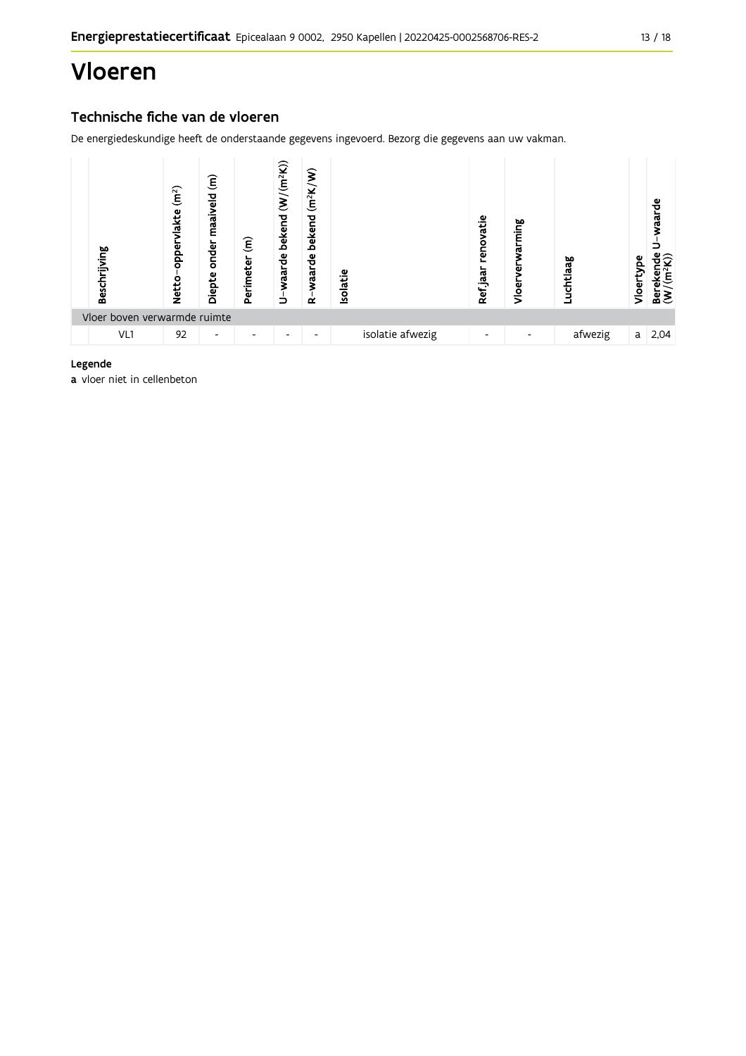## Vloeren

### Technische fiche van de vloeren

De energiedeskundige heeft de onderstaande gegevens ingevoerd. Bezorg die gegevens aan uw vakman.



#### Legende

a vloer niet in cellenbeton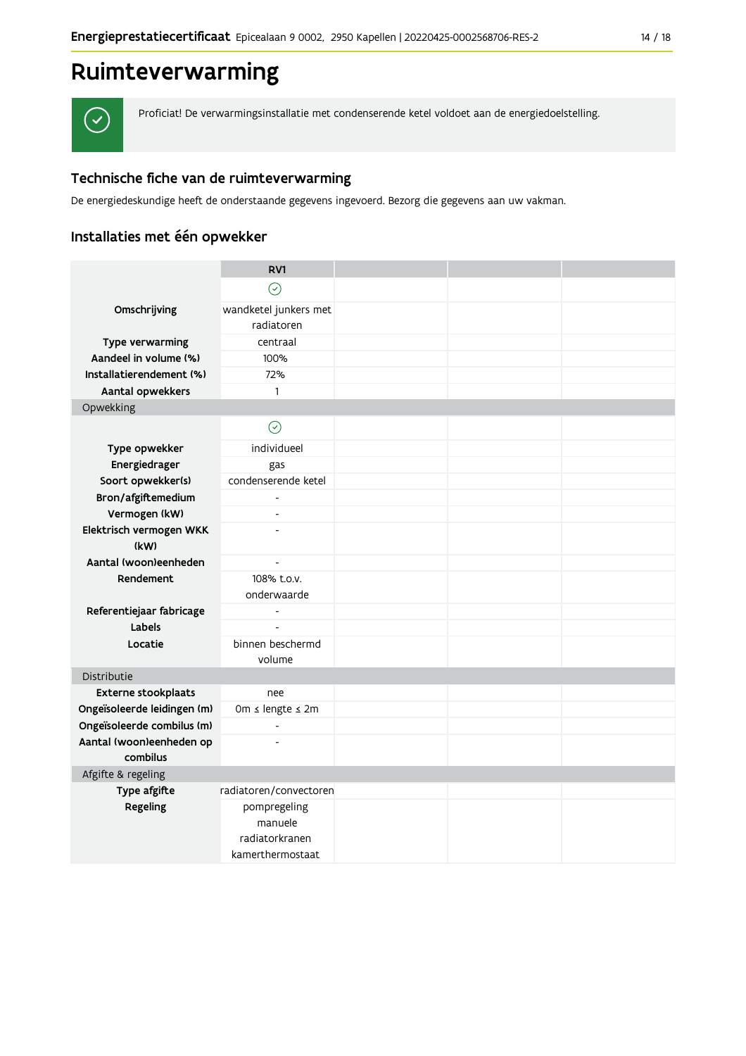## Ruimteverwarming



Proficiat! De verwarmingsinstallatie met condenserende ketel voldoet aan de energiedoelstelling.

### Technische fiche van de ruimteverwarming

De energiedeskundige heeft de onderstaande gegevens ingevoerd. Bezorg die gegevens aan uw vakman.

### Installaties met één opwekker

|                                      | RV1                      |  |  |
|--------------------------------------|--------------------------|--|--|
|                                      | $\odot$                  |  |  |
| Omschrijving                         | wandketel junkers met    |  |  |
|                                      | radiatoren               |  |  |
| Type verwarming                      | centraal                 |  |  |
| Aandeel in volume (%)                | 100%                     |  |  |
| Installatierendement (%)             | 72%                      |  |  |
| Aantal opwekkers                     | $\mathbf{1}$             |  |  |
| Opwekking                            |                          |  |  |
|                                      | $\odot$                  |  |  |
| Type opwekker                        | individueel              |  |  |
| Energiedrager                        | gas                      |  |  |
| Soort opwekker(s)                    | condenserende ketel      |  |  |
| Bron/afgiftemedium                   |                          |  |  |
| Vermogen (kW)                        | $\overline{a}$           |  |  |
| Elektrisch vermogen WKK              | $\overline{a}$           |  |  |
| (kW)                                 |                          |  |  |
| Aantal (woon)eenheden                | $\overline{a}$           |  |  |
| Rendement                            | 108% t.o.v.              |  |  |
|                                      | onderwaarde              |  |  |
| Referentiejaar fabricage             | $\blacksquare$           |  |  |
| Labels                               | $\overline{\phantom{a}}$ |  |  |
| Locatie                              | binnen beschermd         |  |  |
|                                      | volume                   |  |  |
| Distributie                          |                          |  |  |
| <b>Externe stookplaats</b>           | nee                      |  |  |
| Ongeïsoleerde leidingen (m)          | 0m ≤ lengte ≤ 2m         |  |  |
| Ongeïsoleerde combilus (m)           | $\overline{\phantom{a}}$ |  |  |
| Aantal (woon)eenheden op<br>combilus | $\overline{a}$           |  |  |
|                                      |                          |  |  |
| Afgifte & regeling<br>Type afgifte   | radiatoren/convectoren   |  |  |
| Regeling                             | pompregeling             |  |  |
|                                      | manuele                  |  |  |
|                                      | radiatorkranen           |  |  |
|                                      | kamerthermostaat         |  |  |
|                                      |                          |  |  |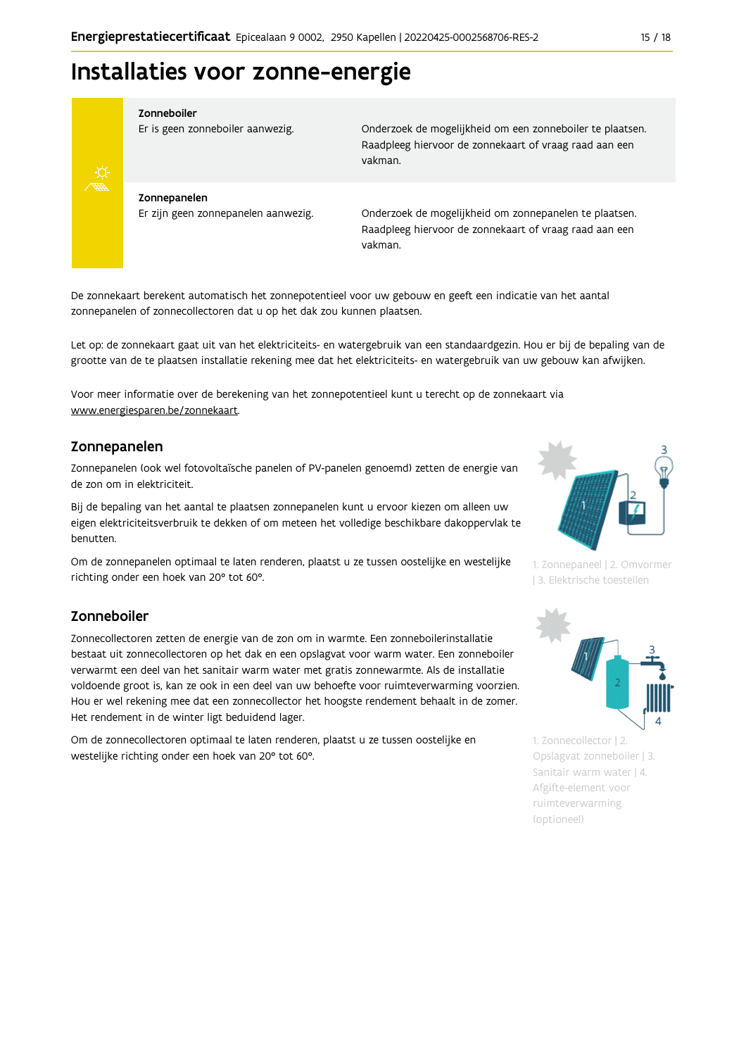## Installaties voor zonne-energie



#### Zonneboiler

Er is geen zonneboiler aanwezig.

Onderzoek de mogelijkheid om een zonneboiler te plaatsen. Raadpleeg hiervoor de zonnekaart of vraag raad aan een vakman.

Zonnepanelen Er zijn geen zonnepanelen aanwezig.

Onderzoek de mogelijkheid om zonnepanelen te plaatsen. Raadpleeg hiervoor de zonnekaart of vraag raad aan een vakman.

De zonnekaart berekent automatisch het zonnepotentieel voor uw gebouw en geeft een indicatie van het aantal zonnepanelen of zonnecollectoren dat u op het dak zou kunnen plaatsen.

Let op: de zonnekaart gaat uit van het elektriciteits- en watergebruik van een standaardgezin. Hou er bij de bepaling van de grootte van de te plaatsen installatie rekening mee dat het elektriciteits- en watergebruik van uw gebouw kan afwijken.

Voor meer informatie over de berekening van het zonnepotentieel kunt u terecht op de zonnekaart via www.energiesparen.be/zonnekaart.

#### Zonnepanelen

Zonnepanelen (ook wel fotovoltaïsche panelen of PV-panelen genoemd) zetten de energie van de zon om in elektriciteit.

Bij de bepaling van het aantal te plaatsen zonnepanelen kunt u ervoor kiezen om alleen uw eigen elektriciteitsverbruik te dekken of om meteen het volledige beschikbare dakoppervlak te benutten.

Om de zonnepanelen optimaal te laten renderen, plaatst u ze tussen oostelijke en westelijke richting onder een hoek van 20° tot 60°.

#### Zonneboiler

Zonnecollectoren zetten de energie van de zon om in warmte. Een zonneboilerinstallatie bestaat uit zonnecollectoren op het dak en een opslagvat voor warm water. Een zonneboiler verwarmt een deel van het sanitair warm water met gratis zonnewarmte. Als de installatie voldoende groot is, kan ze ook in een deel van uw behoefte voor ruimteverwarming voorzien. Hou er wel rekening mee dat een zonnecollector het hoogste rendement behaalt in de zomer. Het rendement in de winter ligt beduidend lager.

Om de zonnecollectoren optimaal te laten renderen, plaatst u ze tussen oostelijke en westelijke richting onder een hoek van 20° tot 60°.



1. Zonnepaneel | 2. Omvormer | 3. Elektrische toestellen



1. Zonnecollector | 2. Opslagvat zonneboiler | 3. Sanitair warm water | 4. Afgifte-element voor ruimteverwarming (optioneel)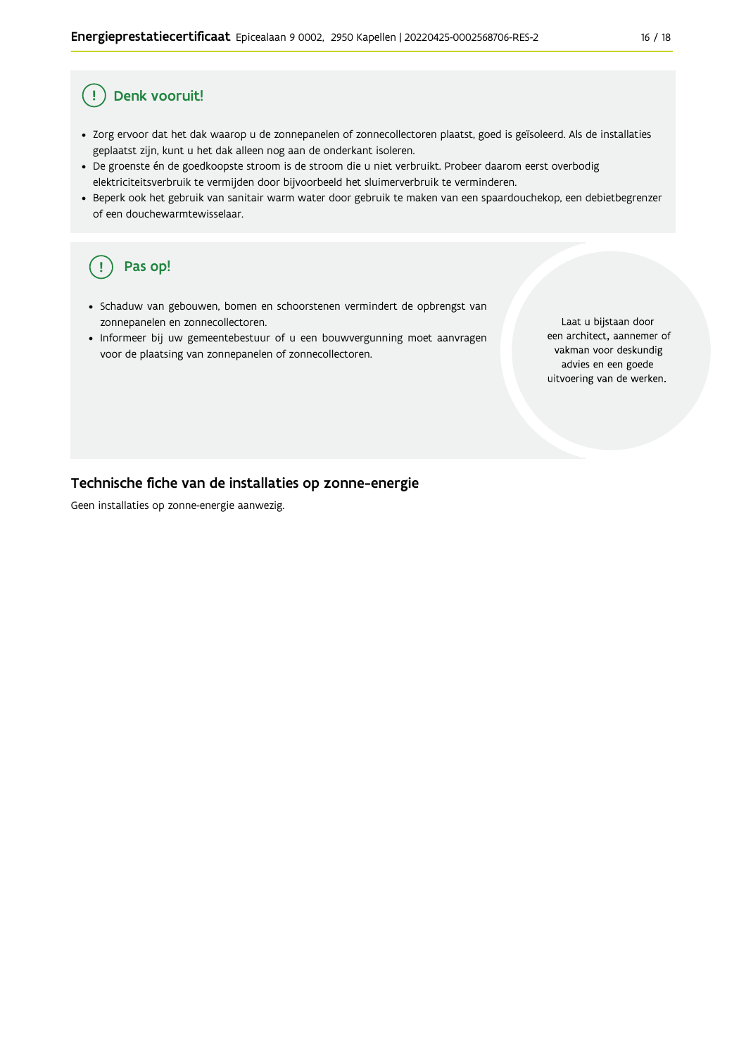#### Ţ Denk vooruit!

- · Zorg ervoor dat het dak waarop u de zonnepanelen of zonnecollectoren plaatst, goed is geïsoleerd. Als de installaties geplaatst zijn, kunt u het dak alleen nog aan de onderkant isoleren.
- · De groenste én de goedkoopste stroom is de stroom die u niet verbruikt. Probeer daarom eerst overbodig elektriciteitsverbruik te vermijden door bijvoorbeeld het sluimerverbruik te verminderen.
- · Beperk ook het gebruik van sanitair warm water door gebruik te maken van een spaardouchekop, een debietbegrenzer of een douchewarmtewisselaar.

#### Pas op! ( !

- · Schaduw van gebouwen, bomen en schoorstenen vermindert de opbrengst van zonnepanelen en zonnecollectoren.
- Informeer bij uw gemeentebestuur of u een bouwvergunning moet aanvragen voor de plaatsing van zonnepanelen of zonnecollectoren.

Laat u bijstaan door een architect, aannemer of vakman voor deskundig advies en een goede uitvoering van de werken.

#### Technische fiche van de installaties op zonne-energie

Geen installaties op zonne-energie aanwezig.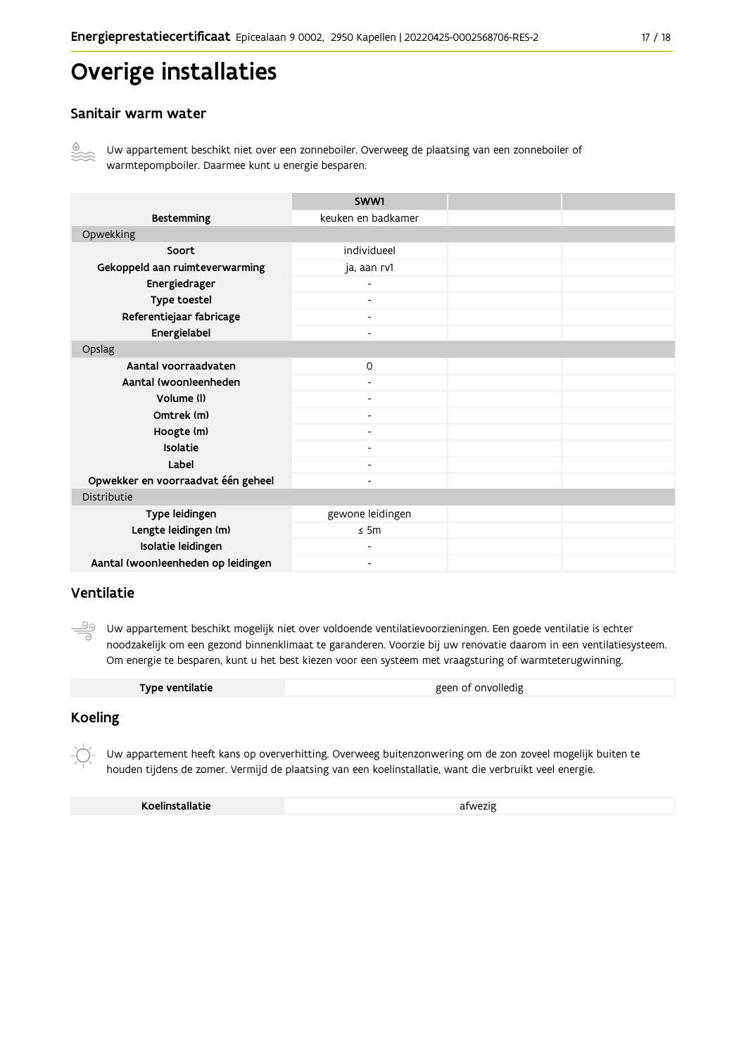## Overige installaties

#### Sanitair warm water



Uw appartement beschikt niet over een zonneboiler. Overweeg de plaatsing van een zonneboiler of warmtepompboiler. Daarmee kunt u energie besparen.

|                                    | SWW1                         |  |
|------------------------------------|------------------------------|--|
| <b>Bestemming</b>                  | keuken en badkamer           |  |
| Opwekking                          |                              |  |
| Soort                              | individueel                  |  |
| Gekoppeld aan ruimteverwarming     | ja, aan rv1                  |  |
| Energiedrager                      |                              |  |
| Type toestel                       | $\overline{\phantom{0}}$     |  |
| Referentiejaar fabricage           | $\overline{\phantom{a}}$     |  |
| Energielabel                       | $\overline{\phantom{0}}$     |  |
| Opslag                             |                              |  |
| Aantal voorraadvaten               | $\mathsf{O}$                 |  |
| Aantal (woon)eenheden              |                              |  |
| Volume (I)                         | $\blacksquare$               |  |
| Omtrek (m)                         |                              |  |
| Hoogte (m)                         |                              |  |
| Isolatie                           | Ξ.                           |  |
| Label                              | -                            |  |
| Opwekker en voorraadvat één geheel | Ξ.                           |  |
| Distributie                        |                              |  |
| Type leidingen                     | gewone leidingen             |  |
| Lengte leidingen (m)               | $\leq$ 5m                    |  |
| Isolatie leidingen                 | Ξ.                           |  |
| Aantal (woon)eenheden op leidingen | $\qquad \qquad \blacksquare$ |  |

#### Ventilatie

ூ Uw appartement beschikt mogelijk niet over voldoende ventilatievoorzieningen. Een goede ventilatie is echter noodzakelijk om een gezond binnenklimaat te garanderen. Voorzie bij uw renovatie daarom in een ventilatiesysteem. Om energie te besparen, kunt u het best kiezen voor een systeem met vraagsturing of warmteterugwinning.

| Type ventilatie | geen of onvolledig |
|-----------------|--------------------|
|                 |                    |

#### **Koeling**

Uw appartement heeft kans op oververhitting. Overweeg buitenzonwering om de zon zoveel mogelijk buiten te houden tijdens de zomer. Vermijd de plaatsing van een koelinstallatie, want die verbruikt veel energie.

Koelinstallatie

afwezig